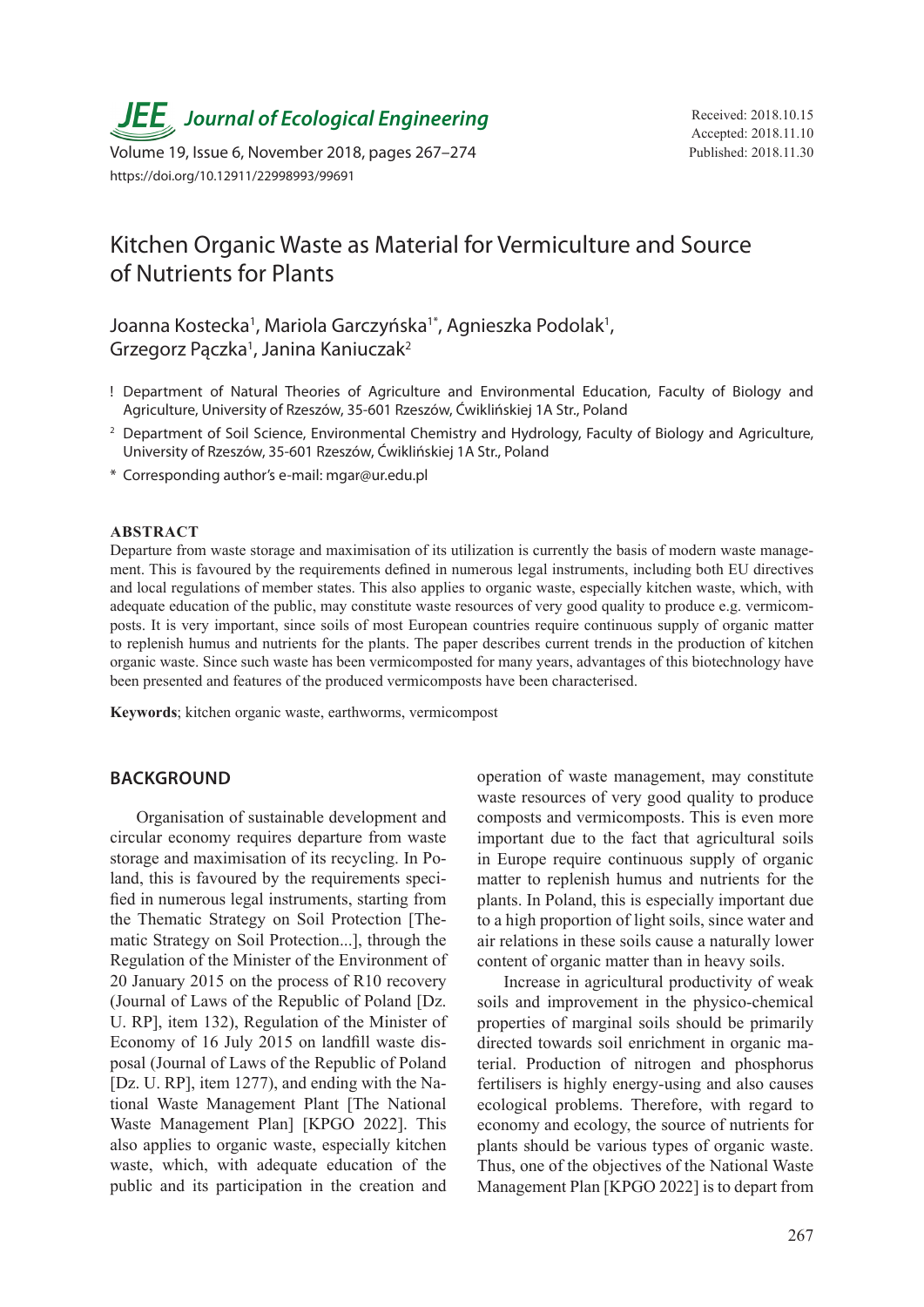*JEE* Journal of Ecological Engineering Received: 2018.10.15

Volume 19, Issue 6, November 2018, pages 267-274 Published: 2018.11.30 https://doi.org/10.12911/22998993/99691

# Kitchen Organic Waste as Material for Vermiculture and Source of Nutrients for Plants

Joanna Kostecka<sup>1</sup>, Mariola Garczyńska<sup>1\*</sup>, Agnieszka Podolak<sup>1</sup>, Grzegorz Pączka<sup>1</sup>, Janina Kaniuczak<sup>2</sup>

- ! Department of Natural Theories of Agriculture and Environmental Education, Faculty of Biology and Agriculture, University of Rzeszów, 35-601 Rzeszów, Ćwiklińskiej 1A Str., Poland
- <sup>2</sup> Department of Soil Science, Environmental Chemistry and Hydrology, Faculty of Biology and Agriculture, University of Rzeszów, 35-601 Rzeszów, Ćwiklińskiej 1A Str., Poland
- \* Corresponding author's e-mail: mgar@ur.edu.pl

#### **ABSTRACT**

Departure from waste storage and maximisation of its utilization is currently the basis of modern waste management. This is favoured by the requirements defined in numerous legal instruments, including both EU directives and local regulations of member states. This also applies to organic waste, especially kitchen waste, which, with adequate education of the public, may constitute waste resources of very good quality to produce e.g. vermicomposts. It is very important, since soils of most European countries require continuous supply of organic matter to replenish humus and nutrients for the plants. The paper describes current trends in the production of kitchen organic waste. Since such waste has been vermicomposted for many years, advantages of this biotechnology have been presented and features of the produced vermicomposts have been characterised.

**Keywords**; kitchen organic waste, earthworms, vermicompost

#### **BACKGROUND**

Organisation of sustainable development and circular economy requires departure from waste storage and maximisation of its recycling. In Poland, this is favoured by the requirements specified in numerous legal instruments, starting from the Thematic Strategy on Soil Protection [Thematic Strategy on Soil Protection...], through the Regulation of the Minister of the Environment of 20 January 2015 on the process of R10 recovery (Journal of Laws of the Republic of Poland [Dz. U. RP], item 132), Regulation of the Minister of Economy of 16 July 2015 on landfill waste disposal (Journal of Laws of the Republic of Poland [Dz. U. RP], item 1277), and ending with the National Waste Management Plant [The National Waste Management Plan] [KPGO 2022]. This also applies to organic waste, especially kitchen waste, which, with adequate education of the public and its participation in the creation and

operation of waste management, may constitute waste resources of very good quality to produce composts and vermicomposts. This is even more important due to the fact that agricultural soils in Europe require continuous supply of organic matter to replenish humus and nutrients for the plants. In Poland, this is especially important due to a high proportion of light soils, since water and air relations in these soils cause a naturally lower content of organic matter than in heavy soils.

Increase in agricultural productivity of weak soils and improvement in the physico-chemical properties of marginal soils should be primarily directed towards soil enrichment in organic material. Production of nitrogen and phosphorus fertilisers is highly energy-using and also causes ecological problems. Therefore, with regard to economy and ecology, the source of nutrients for plants should be various types of organic waste. Thus, one of the objectives of the National Waste Management Plan [KPGO 2022] is to depart from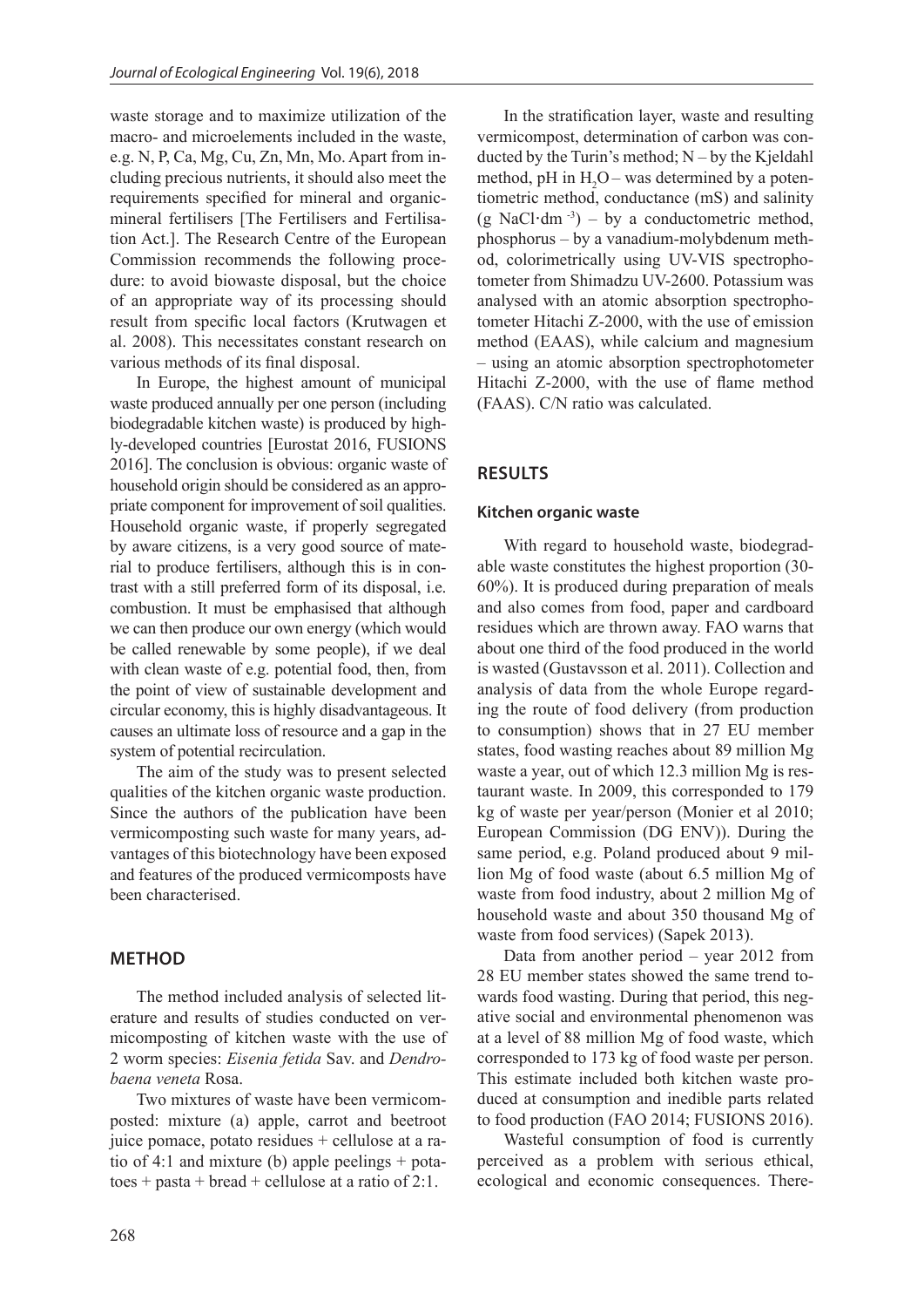waste storage and to maximize utilization of the macro- and microelements included in the waste, e.g. N, P, Ca, Mg, Cu, Zn, Mn, Mo. Apart from including precious nutrients, it should also meet the requirements specified for mineral and organicmineral fertilisers [The Fertilisers and Fertilisation Act.]. The Research Centre of the European Commission recommends the following procedure: to avoid biowaste disposal, but the choice of an appropriate way of its processing should result from specific local factors (Krutwagen et al. 2008). This necessitates constant research on various methods of its final disposal.

In Europe, the highest amount of municipal waste produced annually per one person (including biodegradable kitchen waste) is produced by highly-developed countries [Eurostat 2016, FUSIONS 2016]. The conclusion is obvious: organic waste of household origin should be considered as an appropriate component for improvement of soil qualities. Household organic waste, if properly segregated by aware citizens, is a very good source of material to produce fertilisers, although this is in contrast with a still preferred form of its disposal, i.e. combustion. It must be emphasised that although we can then produce our own energy (which would be called renewable by some people), if we deal with clean waste of e.g. potential food, then, from the point of view of sustainable development and circular economy, this is highly disadvantageous. It causes an ultimate loss of resource and a gap in the system of potential recirculation.

The aim of the study was to present selected qualities of the kitchen organic waste production. Since the authors of the publication have been vermicomposting such waste for many years, advantages of this biotechnology have been exposed and features of the produced vermicomposts have been characterised.

# **METHOD**

The method included analysis of selected literature and results of studies conducted on vermicomposting of kitchen waste with the use of 2 worm species: *Eisenia fetida* Sav. and *Dendrobaena veneta* Rosa.

Two mixtures of waste have been vermicomposted: mixture (a) apple, carrot and beetroot juice pomace, potato residues + cellulose at a ratio of 4:1 and mixture (b) apple peelings + pota $toes + pasta + bread + cellulose at a ratio of 2:1.$ 

In the stratification layer, waste and resulting vermicompost, determination of carbon was conducted by the Turin's method; N – by the Kjeldahl method, pH in  $H_2O$  – was determined by a potentiometric method, conductance (mS) and salinity (g NaCl**·**dm -3) – by a conductometric method, phosphorus – by a vanadium-molybdenum method, colorimetrically using UV-VIS spectrophotometer from Shimadzu UV-2600. Potassium was analysed with an atomic absorption spectrophotometer Hitachi Z-2000, with the use of emission method (EAAS), while calcium and magnesium – using an atomic absorption spectrophotometer Hitachi Z-2000, with the use of flame method (FAAS). C/N ratio was calculated.

# **RESULTS**

#### **Kitchen organic waste**

With regard to household waste, biodegradable waste constitutes the highest proportion (30- 60%). It is produced during preparation of meals and also comes from food, paper and cardboard residues which are thrown away. FAO warns that about one third of the food produced in the world is wasted (Gustavsson et al. 2011). Collection and analysis of data from the whole Europe regarding the route of food delivery (from production to consumption) shows that in 27 EU member states, food wasting reaches about 89 million Mg waste a year, out of which 12.3 million Mg is restaurant waste. In 2009, this corresponded to 179 kg of waste per year/person (Monier et al 2010; European Commission (DG ENV)). During the same period, e.g. Poland produced about 9 million Mg of food waste (about 6.5 million Mg of waste from food industry, about 2 million Mg of household waste and about 350 thousand Mg of waste from food services) (Sapek 2013).

Data from another period – year 2012 from 28 EU member states showed the same trend towards food wasting. During that period, this negative social and environmental phenomenon was at a level of 88 million Mg of food waste, which corresponded to 173 kg of food waste per person. This estimate included both kitchen waste produced at consumption and inedible parts related to food production (FAO 2014; FUSIONS 2016).

Wasteful consumption of food is currently perceived as a problem with serious ethical, ecological and economic consequences. There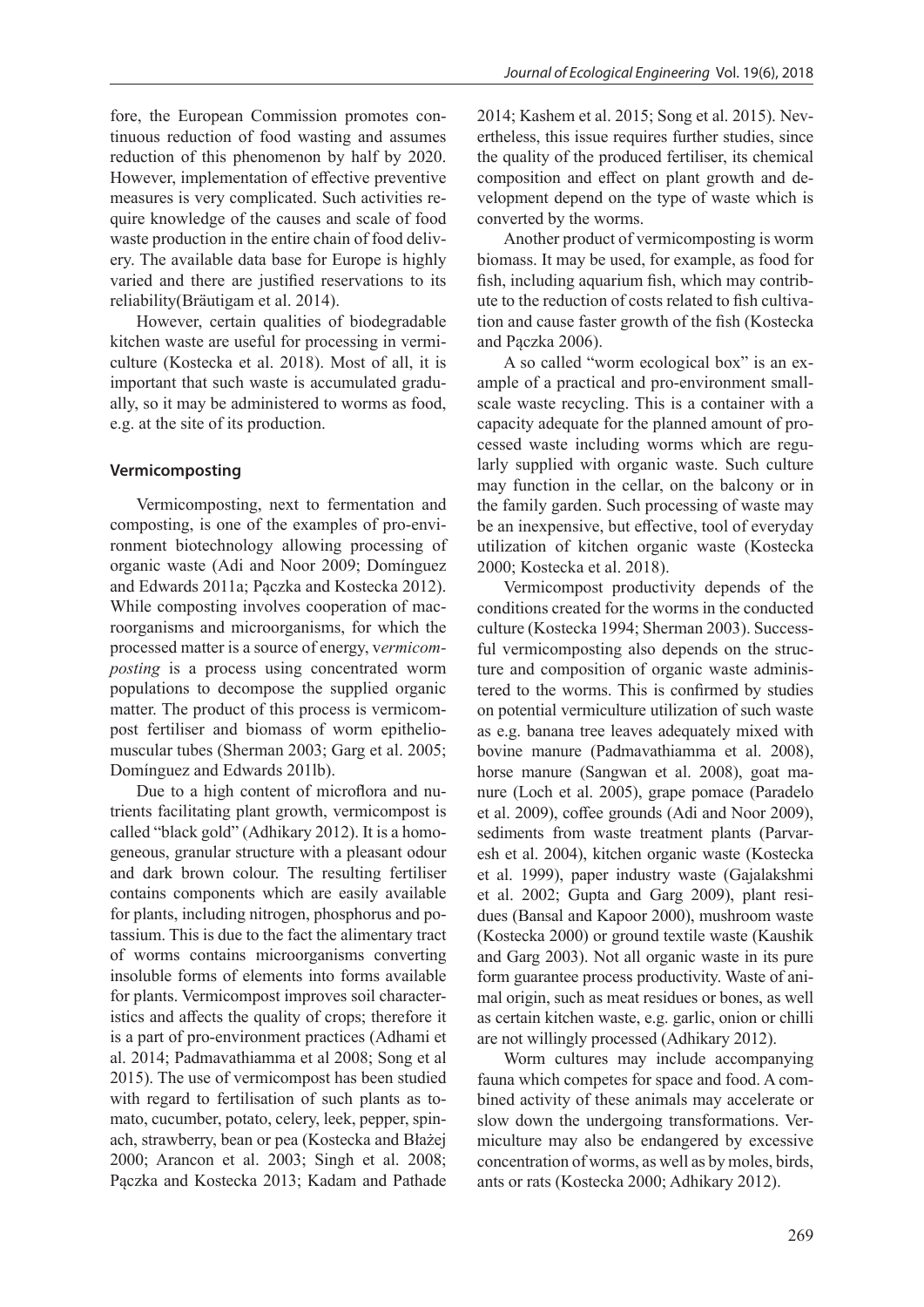fore, the European Commission promotes continuous reduction of food wasting and assumes reduction of this phenomenon by half by 2020. However, implementation of effective preventive measures is very complicated. Such activities require knowledge of the causes and scale of food waste production in the entire chain of food delivery. The available data base for Europe is highly varied and there are justified reservations to its reliability(Bräutigam et al. 2014).

However, certain qualities of biodegradable kitchen waste are useful for processing in vermiculture (Kostecka et al. 2018). Most of all, it is important that such waste is accumulated gradually, so it may be administered to worms as food, e.g. at the site of its production.

#### **Vermicomposting**

Vermicomposting, next to fermentation and composting, is one of the examples of pro-environment biotechnology allowing processing of organic waste (Adi and Noor 2009; Domínguez and Edwards 2011a; Pączka and Kostecka 2012). While composting involves cooperation of macroorganisms and microorganisms, for which the processed matter is a source of energy, v*ermicomposting* is a process using concentrated worm populations to decompose the supplied organic matter. The product of this process is vermicompost fertiliser and biomass of worm epitheliomuscular tubes (Sherman 2003; Garg et al. 2005; Domínguez and Edwards 201lb).

Due to a high content of microflora and nutrients facilitating plant growth, vermicompost is called "black gold" (Adhikary 2012). It is a homogeneous, granular structure with a pleasant odour and dark brown colour. The resulting fertiliser contains components which are easily available for plants, including nitrogen, phosphorus and potassium. This is due to the fact the alimentary tract of worms contains microorganisms converting insoluble forms of elements into forms available for plants. Vermicompost improves soil characteristics and affects the quality of crops; therefore it is a part of pro-environment practices (Adhami et al. 2014; Padmavathiamma et al 2008; Song et al 2015). The use of vermicompost has been studied with regard to fertilisation of such plants as tomato, cucumber, potato, celery, leek, pepper, spinach, strawberry, bean or pea (Kostecka and Błażej 2000; Arancon et al. 2003; Singh et al. 2008; Pączka and Kostecka 2013; Kadam and Pathade

2014; Kashem et al. 2015; Song et al. 2015). Nevertheless, this issue requires further studies, since the quality of the produced fertiliser, its chemical composition and effect on plant growth and development depend on the type of waste which is converted by the worms.

Another product of vermicomposting is worm biomass. It may be used, for example, as food for fish, including aquarium fish, which may contribute to the reduction of costs related to fish cultivation and cause faster growth of the fish (Kostecka and Pączka 2006).

A so called "worm ecological box" is an example of a practical and pro-environment smallscale waste recycling. This is a container with a capacity adequate for the planned amount of processed waste including worms which are regularly supplied with organic waste. Such culture may function in the cellar, on the balcony or in the family garden. Such processing of waste may be an inexpensive, but effective, tool of everyday utilization of kitchen organic waste (Kostecka 2000; Kostecka et al. 2018).

Vermicompost productivity depends of the conditions created for the worms in the conducted culture (Kostecka 1994; Sherman 2003). Successful vermicomposting also depends on the structure and composition of organic waste administered to the worms. This is confirmed by studies on potential vermiculture utilization of such waste as e.g. banana tree leaves adequately mixed with bovine manure (Padmavathiamma et al. 2008), horse manure (Sangwan et al. 2008), goat manure (Loch et al. 2005), grape pomace (Paradelo et al. 2009), coffee grounds (Adi and Noor 2009), sediments from waste treatment plants (Parvaresh et al. 2004), kitchen organic waste (Kostecka et al. 1999), paper industry waste (Gajalakshmi et al. 2002; Gupta and Garg 2009), plant residues (Bansal and Kapoor 2000), mushroom waste (Kostecka 2000) or ground textile waste (Kaushik and Garg 2003). Not all organic waste in its pure form guarantee process productivity. Waste of animal origin, such as meat residues or bones, as well as certain kitchen waste, e.g. garlic, onion or chilli are not willingly processed (Adhikary 2012).

Worm cultures may include accompanying fauna which competes for space and food. A combined activity of these animals may accelerate or slow down the undergoing transformations. Vermiculture may also be endangered by excessive concentration of worms, as well as by moles, birds, ants or rats (Kostecka 2000; Adhikary 2012).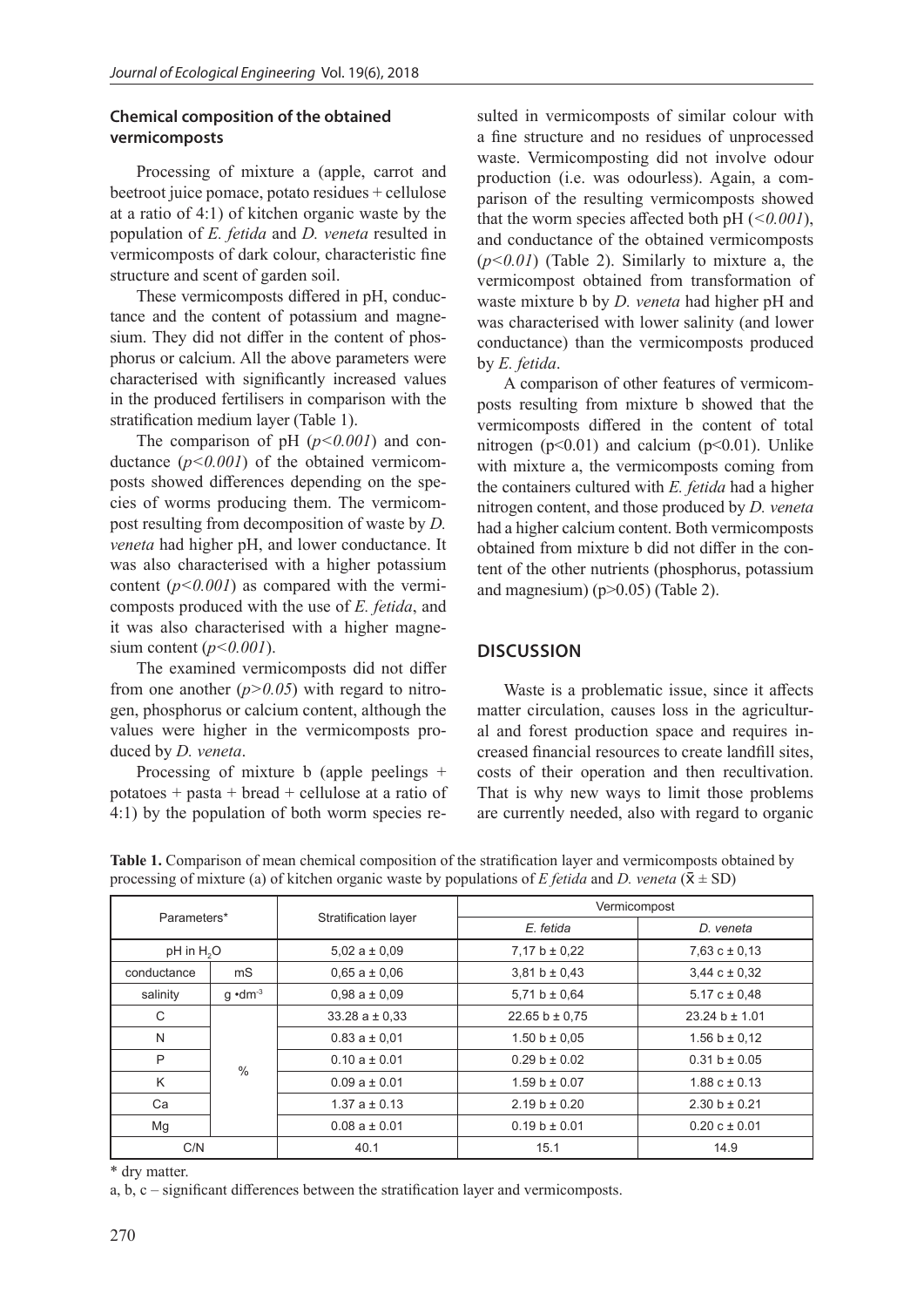## **Chemical composition of the obtained vermicomposts**

Processing of mixture a (apple, carrot and beetroot juice pomace, potato residues + cellulose at a ratio of 4:1) of kitchen organic waste by the population of *E. fetida* and *D. veneta* resulted in vermicomposts of dark colour, characteristic fine structure and scent of garden soil.

These vermicomposts differed in pH, conductance and the content of potassium and magnesium. They did not differ in the content of phosphorus or calcium. All the above parameters were characterised with significantly increased values in the produced fertilisers in comparison with the stratification medium layer (Table 1).

The comparison of pH ( $p$ <0.001) and conductance (*p<0.001*) of the obtained vermicomposts showed differences depending on the species of worms producing them. The vermicompost resulting from decomposition of waste by *D. veneta* had higher pH, and lower conductance. It was also characterised with a higher potassium content  $(p<0.001)$  as compared with the vermicomposts produced with the use of *E. fetida*, and it was also characterised with a higher magnesium content (*p<0.001*).

The examined vermicomposts did not differ from one another  $(p>0.05)$  with regard to nitrogen, phosphorus or calcium content, although the values were higher in the vermicomposts produced by *D. veneta*.

Processing of mixture b (apple peelings + potatoes + pasta + bread + cellulose at a ratio of 4:1) by the population of both worm species resulted in vermicomposts of similar colour with a fine structure and no residues of unprocessed waste. Vermicomposting did not involve odour production (i.e. was odourless). Again, a comparison of the resulting vermicomposts showed that the worm species affected both pH (*<0.001*), and conductance of the obtained vermicomposts (*p<0.01*) (Table 2). Similarly to mixture a, the vermicompost obtained from transformation of waste mixture b by *D. veneta* had higher pH and was characterised with lower salinity (and lower conductance) than the vermicomposts produced by *E. fetida*.

A comparison of other features of vermicomposts resulting from mixture b showed that the vermicomposts differed in the content of total nitrogen ( $p<0.01$ ) and calcium ( $p<0.01$ ). Unlike with mixture a, the vermicomposts coming from the containers cultured with *E. fetida* had a higher nitrogen content, and those produced by *D. veneta* had a higher calcium content. Both vermicomposts obtained from mixture b did not differ in the content of the other nutrients (phosphorus, potassium and magnesium) (p>0.05) (Table 2).

# **DISCUSSION**

Waste is a problematic issue, since it affects matter circulation, causes loss in the agricultural and forest production space and requires increased financial resources to create landfill sites, costs of their operation and then recultivation. That is why new ways to limit those problems are currently needed, also with regard to organic

| Parameters*            |                   | Stratification layer | Vermicompost       |                     |
|------------------------|-------------------|----------------------|--------------------|---------------------|
|                        |                   |                      | E. fetida          | D. veneta           |
| pH in H <sub>2</sub> O |                   | $5.02 a \pm 0.09$    | 7,17 b $\pm$ 0,22  | $7,63$ c $\pm$ 0.13 |
| conductance            | mS                | $0.65 a \pm 0.06$    | $3,81 b \pm 0,43$  | $3,44$ c $\pm$ 0.32 |
| salinity               | $q \cdot dm^{-3}$ | $0.98a \pm 0.09$     | 5,71 b $\pm$ 0,64  | $5.17 c \pm 0.48$   |
| C                      | $\%$              | $33.28 a \pm 0.33$   | 22.65 b $\pm$ 0.75 | $23.24 b \pm 1.01$  |
| N                      |                   | $0.83 a \pm 0.01$    | $1.50 b \pm 0.05$  | $1.56 b \pm 0.12$   |
| P                      |                   | $0.10 a \pm 0.01$    | $0.29 b \pm 0.02$  | $0.31 b \pm 0.05$   |
| K                      |                   | $0.09a \pm 0.01$     | $1.59 b \pm 0.07$  | $1.88 c \pm 0.13$   |
| Ca                     |                   | $1.37a \pm 0.13$     | $2.19 b \pm 0.20$  | $2.30 b \pm 0.21$   |
| Mq                     |                   | $0.08a \pm 0.01$     | $0.19 b \pm 0.01$  | $0.20 c \pm 0.01$   |
| C/N                    |                   | 40.1                 | 15.1               | 14.9                |

**Table 1.** Comparison of mean chemical composition of the stratification layer and vermicomposts obtained by processing of mixture (a) of kitchen organic waste by populations of *E fetida* and *D. veneta* ( $\bar{x}$   $\pm$  SD)

\* dry matter.

a, b, c – significant differences between the stratification layer and vermicomposts.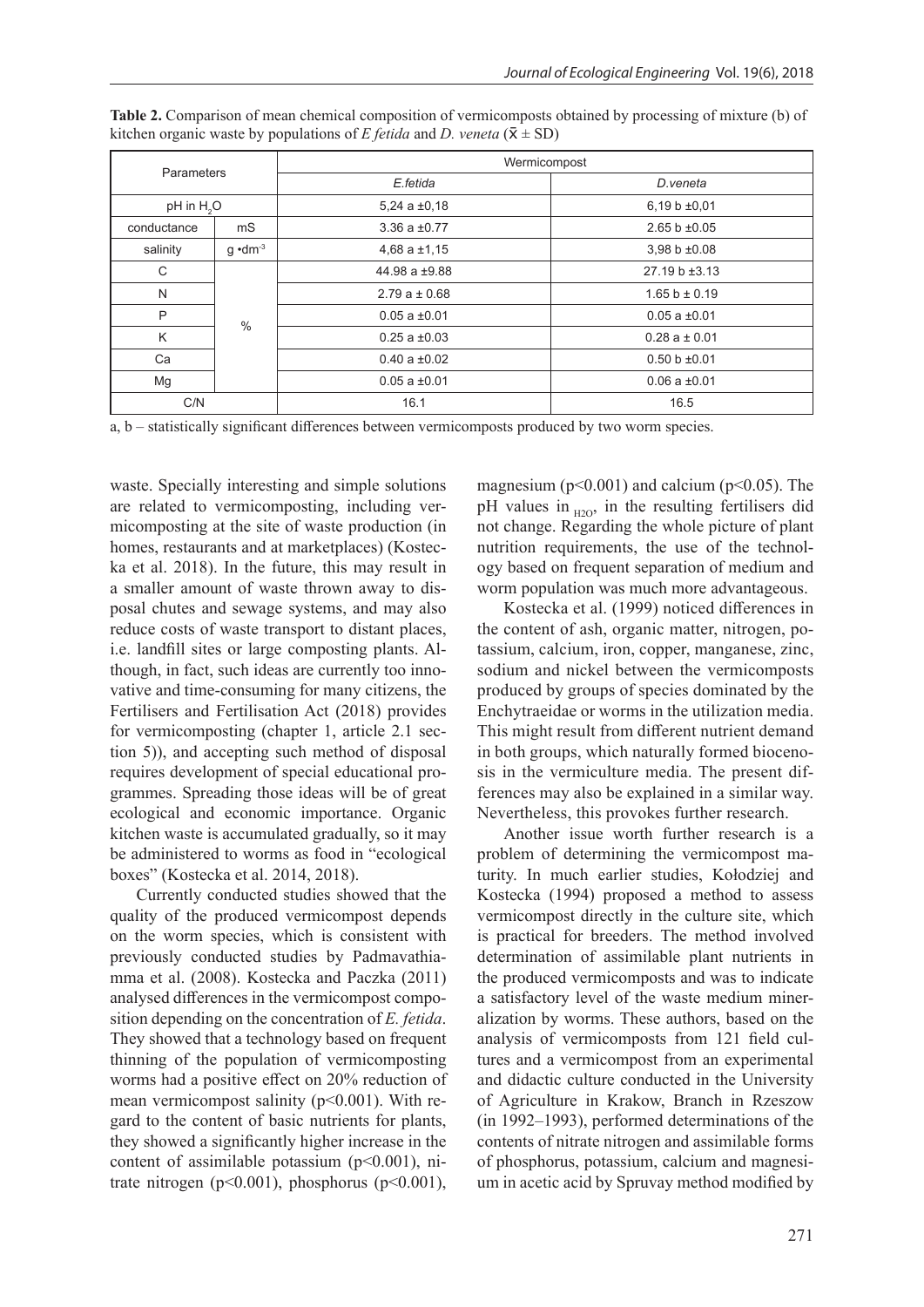| Parameters             |                   | Wermicompost        |                    |  |
|------------------------|-------------------|---------------------|--------------------|--|
|                        |                   | E.fetida            | D.veneta           |  |
| pH in H <sub>3</sub> O |                   | $5,24$ a $\pm 0,18$ | $6,19 b \pm 0.01$  |  |
| conductance            | mS                | 3.36 a $\pm$ 0.77   | $2.65 b \pm 0.05$  |  |
| salinity               | $q \cdot dm^{-3}$ | $4,68$ a $±1,15$    | 3,98 b ±0.08       |  |
| C                      | $\frac{0}{0}$     | 44.98 a $\pm$ 9.88  | $27.19 b \pm 3.13$ |  |
| N                      |                   | $2.79a \pm 0.68$    | $1.65 b \pm 0.19$  |  |
| P                      |                   | $0.05 a \pm 0.01$   | $0.05 a \pm 0.01$  |  |
| K                      |                   | $0.25$ a $\pm 0.03$ | $0.28a \pm 0.01$   |  |
| Ca                     |                   | $0.40 a \pm 0.02$   | $0.50 b \pm 0.01$  |  |
| Mg                     |                   | $0.05 a \pm 0.01$   | $0.06 a \pm 0.01$  |  |
| C/N                    |                   | 16.1                | 16.5               |  |

**Table 2.** Comparison of mean chemical composition of vermicomposts obtained by processing of mixture (b) of kitchen organic waste by populations of *E fetida* and *D. veneta* ( $\bar{x} \pm SD$ )

a, b – statistically significant differences between vermicomposts produced by two worm species.

waste. Specially interesting and simple solutions are related to vermicomposting, including vermicomposting at the site of waste production (in homes, restaurants and at marketplaces) (Kostecka et al. 2018). In the future, this may result in a smaller amount of waste thrown away to disposal chutes and sewage systems, and may also reduce costs of waste transport to distant places, i.e. landfill sites or large composting plants. Although, in fact, such ideas are currently too innovative and time-consuming for many citizens, the Fertilisers and Fertilisation Act (2018) provides for vermicomposting (chapter 1, article 2.1 section 5)), and accepting such method of disposal requires development of special educational programmes. Spreading those ideas will be of great ecological and economic importance. Organic kitchen waste is accumulated gradually, so it may be administered to worms as food in "ecological boxes" (Kostecka et al. 2014, 2018).

Currently conducted studies showed that the quality of the produced vermicompost depends on the worm species, which is consistent with previously conducted studies by Padmavathiamma et al. (2008). Kostecka and Paczka (2011) analysed differences in the vermicompost composition depending on the concentration of *E. fetida*. They showed that a technology based on frequent thinning of the population of vermicomposting worms had a positive effect on 20% reduction of mean vermicompost salinity ( $p<0.001$ ). With regard to the content of basic nutrients for plants, they showed a significantly higher increase in the content of assimilable potassium  $(p<0.001)$ , nitrate nitrogen ( $p<0.001$ ), phosphorus ( $p<0.001$ ),

magnesium ( $p<0.001$ ) and calcium ( $p<0.05$ ). The pH values in  $_{H2O}$ , in the resulting fertilisers did not change. Regarding the whole picture of plant nutrition requirements, the use of the technology based on frequent separation of medium and worm population was much more advantageous.

Kostecka et al. (1999) noticed differences in the content of ash, organic matter, nitrogen, potassium, calcium, iron, copper, manganese, zinc, sodium and nickel between the vermicomposts produced by groups of species dominated by the Enchytraeidae or worms in the utilization media. This might result from different nutrient demand in both groups, which naturally formed biocenosis in the vermiculture media. The present differences may also be explained in a similar way. Nevertheless, this provokes further research.

Another issue worth further research is a problem of determining the vermicompost maturity. In much earlier studies, Kołodziej and Kostecka (1994) proposed a method to assess vermicompost directly in the culture site, which is practical for breeders. The method involved determination of assimilable plant nutrients in the produced vermicomposts and was to indicate a satisfactory level of the waste medium mineralization by worms. These authors, based on the analysis of vermicomposts from 121 field cultures and a vermicompost from an experimental and didactic culture conducted in the University of Agriculture in Krakow, Branch in Rzeszow (in 1992–1993), performed determinations of the contents of nitrate nitrogen and assimilable forms of phosphorus, potassium, calcium and magnesium in acetic acid by Spruvay method modified by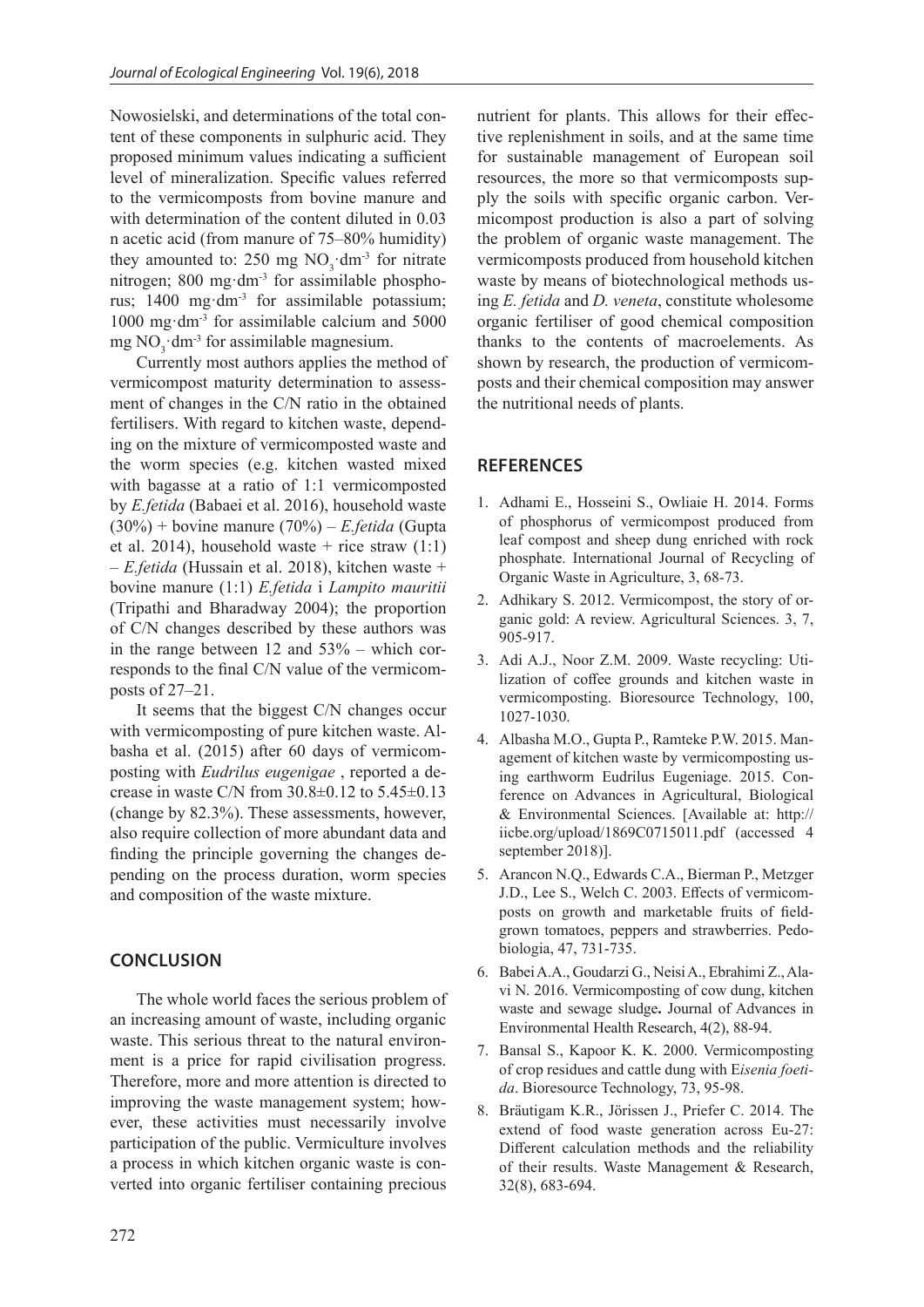Nowosielski, and determinations of the total content of these components in sulphuric acid. They proposed minimum values indicating a sufficient level of mineralization. Specific values referred to the vermicomposts from bovine manure and with determination of the content diluted in 0.03 n acetic acid (from manure of 75–80% humidity) they amounted to: 250 mg  $NO_3$ ·dm<sup>-3</sup> for nitrate nitrogen; 800 mg·dm-3 for assimilable phosphorus; 1400 mg·dm-3 for assimilable potassium;  $1000 \text{ mg} \cdot \text{dm}^{-3}$  for assimilable calcium and  $5000$ mg  $NO_3$ ·dm<sup>-3</sup> for assimilable magnesium.

Currently most authors applies the method of vermicompost maturity determination to assessment of changes in the C/N ratio in the obtained fertilisers. With regard to kitchen waste, depending on the mixture of vermicomposted waste and the worm species (e.g. kitchen wasted mixed with bagasse at a ratio of 1:1 vermicomposted by *E.fetida* (Babaei et al. 2016), household waste (30%) + bovine manure (70%) – *E.fetida* (Gupta et al. 2014), household waste + rice straw  $(1:1)$ – *E.fetida* (Hussain et al. 2018), kitchen waste + bovine manure (1:1) *E.fetida* i *Lampito mauritii* (Tripathi and Bharadway 2004); the proportion of C/N changes described by these authors was in the range between 12 and 53% – which corresponds to the final C/N value of the vermicomposts of 27–21.

It seems that the biggest C/N changes occur with vermicomposting of pure kitchen waste. Albasha et al. (2015) after 60 days of vermicomposting with *Eudrilus eugenigae* , reported a decrease in waste C/N from 30.8±0.12 to 5.45±0.13 (change by 82.3%). These assessments, however, also require collection of more abundant data and finding the principle governing the changes depending on the process duration, worm species and composition of the waste mixture.

# **CONCLUSION**

The whole world faces the serious problem of an increasing amount of waste, including organic waste. This serious threat to the natural environment is a price for rapid civilisation progress. Therefore, more and more attention is directed to improving the waste management system; however, these activities must necessarily involve participation of the public. Vermiculture involves a process in which kitchen organic waste is converted into organic fertiliser containing precious

nutrient for plants. This allows for their effective replenishment in soils, and at the same time for sustainable management of European soil resources, the more so that vermicomposts supply the soils with specific organic carbon. Vermicompost production is also a part of solving the problem of organic waste management. The vermicomposts produced from household kitchen waste by means of biotechnological methods using *E. fetida* and *D. veneta*, constitute wholesome organic fertiliser of good chemical composition thanks to the contents of macroelements. As shown by research, the production of vermicomposts and their chemical composition may answer the nutritional needs of plants.

#### **REFERENCES**

- 1. Adhami E., Hosseini S., Owliaie H. 2014. Forms of phosphorus of vermicompost produced from leaf compost and sheep dung enriched with rock phosphate. International Journal of Recycling of Organic Waste in Agriculture, 3, 68-73.
- 2. Adhikary S. 2012. Vermicompost, the story of organic gold: A review. Agricultural Sciences. 3, 7, 905-917.
- 3. Adi A.J., Noor Z.M. 2009. Waste recycling: Utilization of coffee grounds and kitchen waste in vermicomposting. Bioresource Technology, 100, 1027-1030.
- 4. Albasha M.O., Gupta P., Ramteke P.W. 2015. Management of kitchen waste by vermicomposting using earthworm Eudrilus Eugeniage. 2015. Conference on Advances in Agricultural, Biological & Environmental Sciences. [Available at: http:// iicbe.org/upload/1869C0715011.pdf (accessed 4 september 2018)].
- 5. Arancon N.Q., Edwards C.A., Bierman P., Metzger J.D., Lee S., Welch C. 2003. Effects of vermicomposts on growth and marketable fruits of fieldgrown tomatoes, peppers and strawberries. Pedobiologia, 47, 731-735.
- 6. Babei A.A., Goudarzi G., Neisi A., Ebrahimi Z., Alavi N. 2016. Vermicomposting of cow dung, kitchen waste and sewage sludge**.** Journal of Advances in Environmental Health Research, 4(2), 88-94.
- 7. Bansal S., Kapoor K. K. 2000. Vermicomposting of crop residues and cattle dung with E*isenia foetida*. Bioresource Technology, 73, 95-98.
- 8. Bräutigam K.R., Jörissen J., Priefer C. 2014. The extend of food waste generation across Eu-27: Different calculation methods and the reliability of their results. Waste Management & Research, 32(8), 683-694.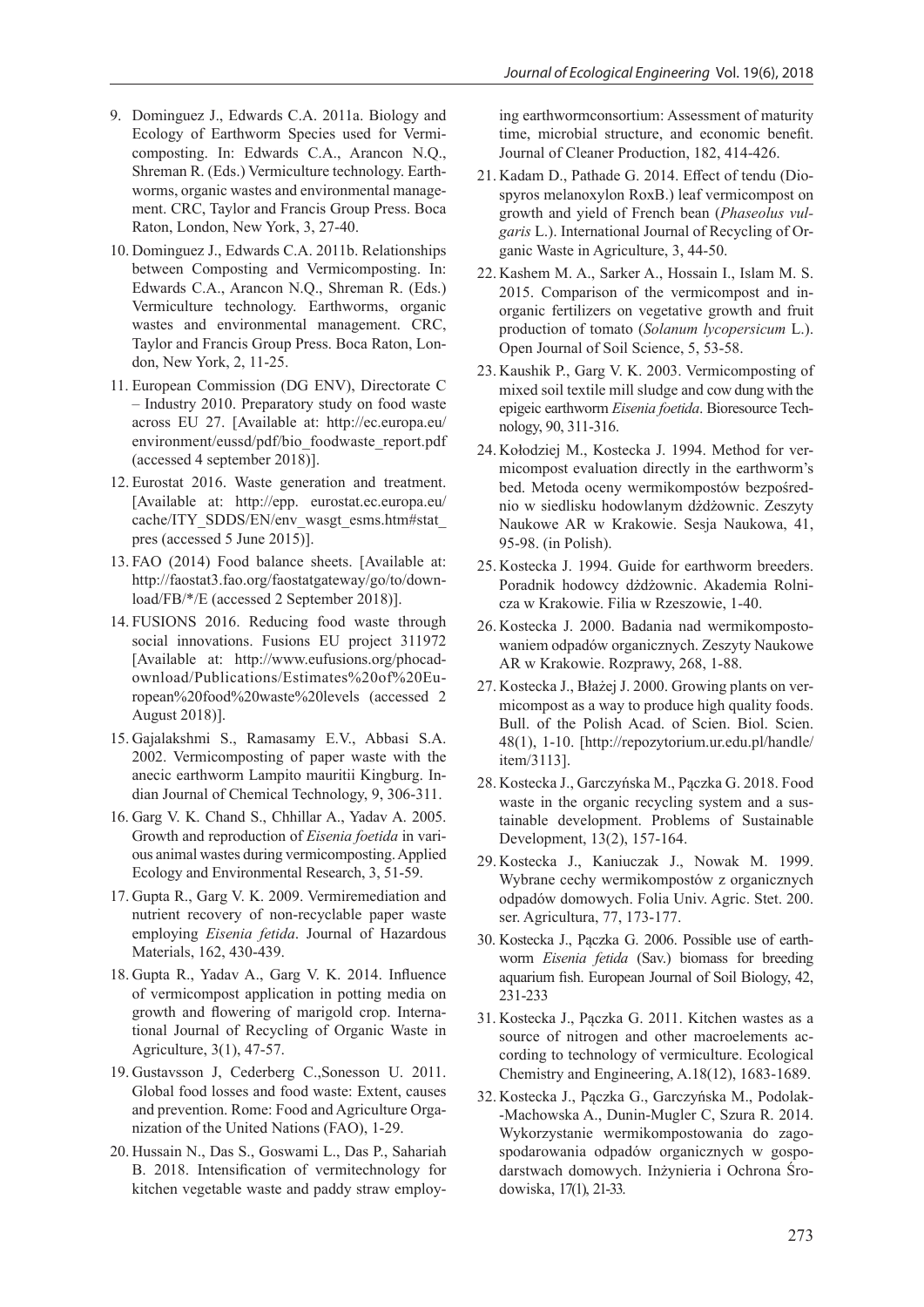- 9. Dominguez J., Edwards C.A. 2011a. Biology and Ecology of Earthworm Species used for Vermicomposting. In: Edwards C.A., Arancon N.Q., Shreman R. (Eds.) Vermiculture technology. Earthworms, organic wastes and environmental management. CRC, Taylor and Francis Group Press. Boca Raton, London, New York, 3, 27-40.
- 10. Dominguez J., Edwards C.A. 2011b. Relationships between Composting and Vermicomposting. In: Edwards C.A., Arancon N.Q., Shreman R. (Eds.) Vermiculture technology. Earthworms, organic wastes and environmental management. CRC, Taylor and Francis Group Press. Boca Raton, London, New York, 2, 11-25.
- 11. European Commission (DG ENV), Directorate C – Industry 2010. Preparatory study on food waste across EU 27. [Available at: http://ec.europa.eu/ environment/eussd/pdf/bio\_foodwaste\_report.pdf (accessed 4 september 2018)].
- 12. Eurostat 2016. Waste generation and treatment. [Available at: http://epp. eurostat.ec.europa.eu/ cache/ITY\_SDDS/EN/env\_wasgt\_esms.htm#stat pres (accessed 5 June 2015)].
- 13. FAO (2014) Food balance sheets. [Available at: http://faostat3.fao.org/faostatgateway/go/to/download/FB/\*/E (accessed 2 September 2018)].
- 14. FUSIONS 2016. Reducing food waste through social innovations. Fusions EU project 311972 [Available at: http://www.eufusions.org/phocadownload/Publications/Estimates%20of%20European%20food%20waste%20levels (accessed 2 August 2018)].
- 15. Gajalakshmi S., Ramasamy E.V., Abbasi S.A. 2002. Vermicomposting of paper waste with the anecic earthworm Lampito mauritii Kingburg. Indian Journal of Chemical Technology, 9, 306-311.
- 16. Garg V. K. Chand S., Chhillar A., Yadav A. 2005. Growth and reproduction of *Eisenia foetida* in various animal wastes during vermicomposting. Applied Ecology and Environmental Research, 3, 51-59.
- 17. Gupta R., Garg V. K. 2009. Vermiremediation and nutrient recovery of non-recyclable paper waste employing *Eisenia fetida*. Journal of Hazardous Materials, 162, 430-439.
- 18. Gupta R., Yadav A., Garg V. K. 2014. Influence of vermicompost application in potting media on growth and flowering of marigold crop. International Journal of Recycling of Organic Waste in Agriculture, 3(1), 47-57.
- 19. Gustavsson J, Cederberg C.,Sonesson U. 2011. Global food losses and food waste: Extent, causes and prevention. Rome: Food and Agriculture Organization of the United Nations (FAO), 1-29.
- 20. Hussain N., Das S., Goswami L., Das P., Sahariah B. 2018. Intensification of vermitechnology for kitchen vegetable waste and paddy straw employ-

ing earthwormconsortium: Assessment of maturity time, microbial structure, and economic benefit. Journal of Cleaner Production, 182, 414-426.

- 21. Kadam D., Pathade G. 2014. Effect of tendu (Diospyros melanoxylon RoxB.) leaf vermicompost on growth and yield of French bean (*Phaseolus vulgaris* L.). International Journal of Recycling of Organic Waste in Agriculture, 3, 44-50.
- 22. Kashem M. A., Sarker A., Hossain I., Islam M. S. 2015. Comparison of the vermicompost and inorganic fertilizers on vegetative growth and fruit production of tomato (*Solanum lycopersicum* L.). Open Journal of Soil Science, 5, 53-58.
- 23. Kaushik P., Garg V. K. 2003. Vermicomposting of mixed soil textile mill sludge and cow dung with the epigeic earthworm *Eisenia foetida*. Bioresource Technology, 90, 311-316.
- 24. Kołodziej M., Kostecka J. 1994. Method for vermicompost evaluation directly in the earthworm's bed. Metoda oceny wermikompostów bezpośrednio w siedlisku hodowlanym dżdżownic. Zeszyty Naukowe AR w Krakowie. Sesja Naukowa, 41, 95-98. (in Polish).
- 25. Kostecka J. 1994. Guide for earthworm breeders. Poradnik hodowcy dżdżownic. Akademia Rolnicza w Krakowie. Filia w Rzeszowie, 1-40.
- 26. Kostecka J. 2000. Badania nad wermikompostowaniem odpadów organicznych. Zeszyty Naukowe AR w Krakowie. Rozprawy, 268, 1-88.
- 27. Kostecka J., Błażej J. 2000. Growing plants on vermicompost as a way to produce high quality foods. Bull. of the Polish Acad. of Scien. Biol. Scien. 48(1), 1-10. [http://repozytorium.ur.edu.pl/handle/ item/3113].
- 28. Kostecka J., Garczyńska M., Pączka G. 2018. Food waste in the organic recycling system and a sustainable development. Problems of Sustainable Development, 13(2), 157-164.
- 29. Kostecka J., Kaniuczak J., Nowak M. 1999. Wybrane cechy wermikompostów z organicznych odpadów domowych. Folia Univ. Agric. Stet. 200. ser. Agricultura, 77, 173-177.
- 30. Kostecka J., Pączka G. 2006. Possible use of earthworm *Eisenia fetida* (Sav.) biomass for breeding aquarium fish. European Journal of Soil Biology, 42, 231-233
- 31. Kostecka J., Pączka G. 2011. Kitchen wastes as a source of nitrogen and other macroelements according to technology of vermiculture. Ecological Chemistry and Engineering, A.18(12), 1683-1689.
- 32. Kostecka J., Pączka G., Garczyńska M., Podolak- -Machowska A., Dunin-Mugler C, Szura R. 2014. Wykorzystanie wermikompostowania do zagospodarowania odpadów organicznych w gospodarstwach domowych. Inżynieria i Ochrona Środowiska, 17(1), 21-33.